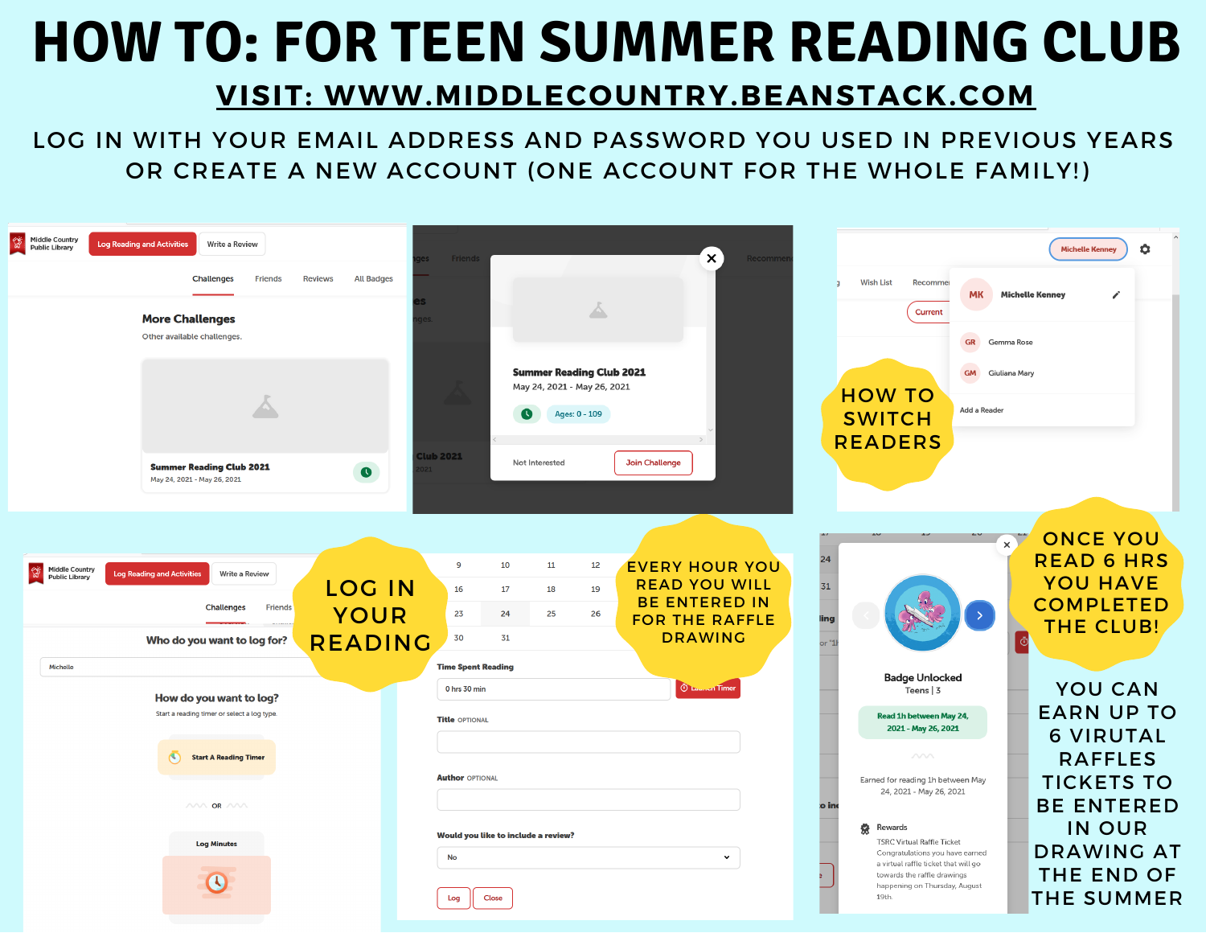## **HOW TO: FOR TEEN SUMMER READING CLUB**

## **VISIT: WWW.MIDDLECOUNTRY.BEANSTACK.COM**

LOG IN WITH YOUR EMAIL ADDRESS AND PASSWORD YOU USED IN PREVIOUS YEARS OR CREATE A NEW ACCOUNT (ONE ACCOUNT FOR THE WHOLE FAMILY!)